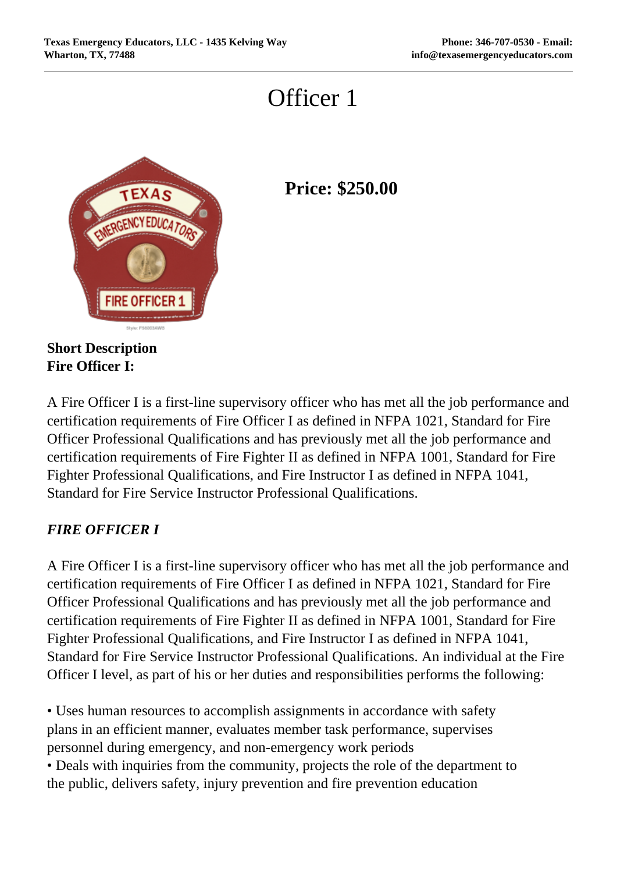## Officer 1



## **Price: \$250.00**

**Short Description Fire Officer I:**

A Fire Officer I is a first-line supervisory officer who has met all the job performance and certification requirements of Fire Officer I as defined in NFPA 1021, Standard for Fire Officer Professional Qualifications and has previously met all the job performance and certification requirements of Fire Fighter II as defined in NFPA 1001, Standard for Fire Fighter Professional Qualifications, and Fire Instructor I as defined in NFPA 1041, Standard for Fire Service Instructor Professional Qualifications.

## *FIRE OFFICER I*

A Fire Officer I is a first-line supervisory officer who has met all the job performance and certification requirements of Fire Officer I as defined in NFPA 1021, Standard for Fire Officer Professional Qualifications and has previously met all the job performance and certification requirements of Fire Fighter II as defined in NFPA 1001, Standard for Fire Fighter Professional Qualifications, and Fire Instructor I as defined in NFPA 1041, Standard for Fire Service Instructor Professional Qualifications. An individual at the Fire Officer I level, as part of his or her duties and responsibilities performs the following:

• Uses human resources to accomplish assignments in accordance with safety plans in an efficient manner, evaluates member task performance, supervises personnel during emergency, and non-emergency work periods

• Deals with inquiries from the community, projects the role of the department to the public, delivers safety, injury prevention and fire prevention education